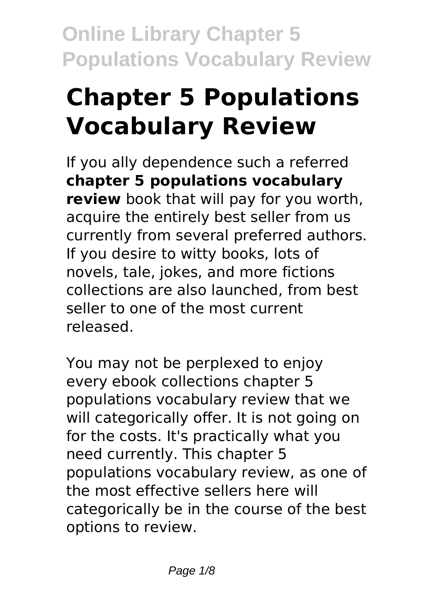# **Chapter 5 Populations Vocabulary Review**

If you ally dependence such a referred **chapter 5 populations vocabulary review** book that will pay for you worth, acquire the entirely best seller from us currently from several preferred authors. If you desire to witty books, lots of novels, tale, jokes, and more fictions collections are also launched, from best seller to one of the most current released.

You may not be perplexed to enjoy every ebook collections chapter 5 populations vocabulary review that we will categorically offer. It is not going on for the costs. It's practically what you need currently. This chapter 5 populations vocabulary review, as one of the most effective sellers here will categorically be in the course of the best options to review.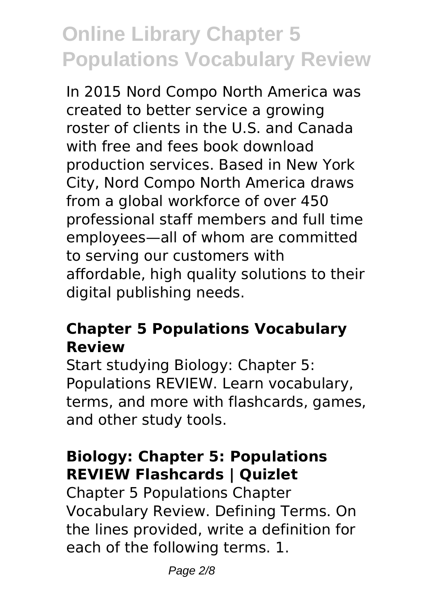In 2015 Nord Compo North America was created to better service a growing roster of clients in the U.S. and Canada with free and fees book download production services. Based in New York City, Nord Compo North America draws from a global workforce of over 450 professional staff members and full time employees—all of whom are committed to serving our customers with affordable, high quality solutions to their digital publishing needs.

#### **Chapter 5 Populations Vocabulary Review**

Start studying Biology: Chapter 5: Populations REVIEW. Learn vocabulary, terms, and more with flashcards, games, and other study tools.

### **Biology: Chapter 5: Populations REVIEW Flashcards | Quizlet**

Chapter 5 Populations Chapter Vocabulary Review. Defining Terms. On the lines provided, write a definition for each of the following terms. 1.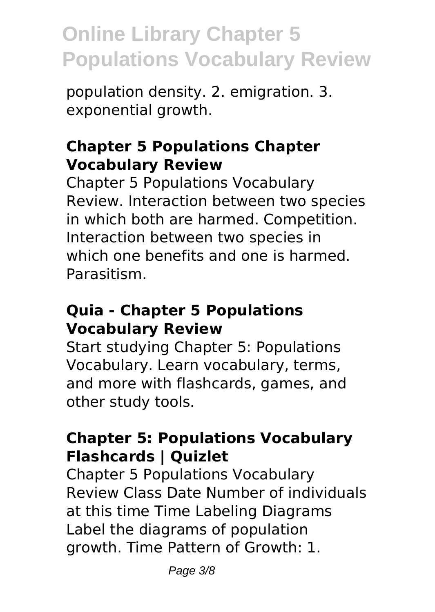population density. 2. emigration. 3. exponential growth.

#### **Chapter 5 Populations Chapter Vocabulary Review**

Chapter 5 Populations Vocabulary Review. Interaction between two species in which both are harmed. Competition. Interaction between two species in which one benefits and one is harmed. Parasitism.

#### **Quia - Chapter 5 Populations Vocabulary Review**

Start studying Chapter 5: Populations Vocabulary. Learn vocabulary, terms, and more with flashcards, games, and other study tools.

#### **Chapter 5: Populations Vocabulary Flashcards | Quizlet**

Chapter 5 Populations Vocabulary Review Class Date Number of individuals at this time Time Labeling Diagrams Label the diagrams of population growth. Time Pattern of Growth: 1.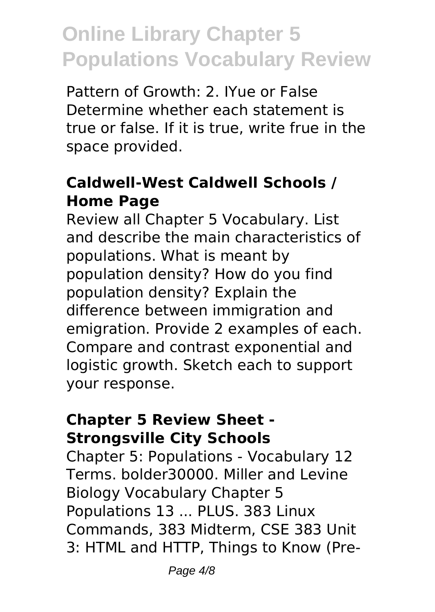Pattern of Growth: 2. IYue or False Determine whether each statement is true or false. If it is true, write frue in the space provided.

### **Caldwell-West Caldwell Schools / Home Page**

Review all Chapter 5 Vocabulary. List and describe the main characteristics of populations. What is meant by population density? How do you find population density? Explain the difference between immigration and emigration. Provide 2 examples of each. Compare and contrast exponential and logistic growth. Sketch each to support your response.

#### **Chapter 5 Review Sheet - Strongsville City Schools**

Chapter 5: Populations - Vocabulary 12 Terms. bolder30000. Miller and Levine Biology Vocabulary Chapter 5 Populations 13 ... PLUS. 383 Linux Commands, 383 Midterm, CSE 383 Unit 3: HTML and HTTP, Things to Know (Pre-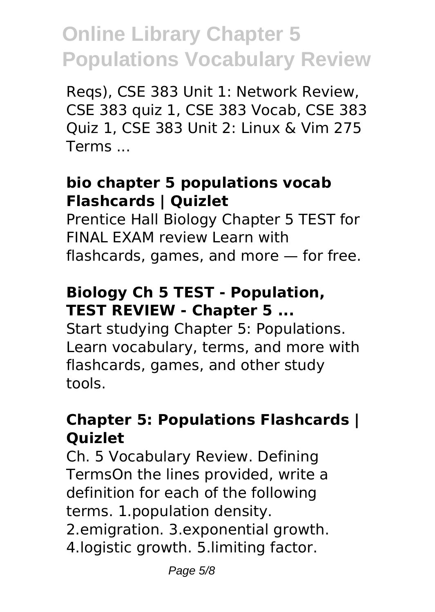Reqs), CSE 383 Unit 1: Network Review, CSE 383 quiz 1, CSE 383 Vocab, CSE 383 Quiz 1, CSE 383 Unit 2: Linux & Vim 275 Terms ...

#### **bio chapter 5 populations vocab Flashcards | Quizlet**

Prentice Hall Biology Chapter 5 TEST for FINAL EXAM review Learn with flashcards, games, and more — for free.

#### **Biology Ch 5 TEST - Population, TEST REVIEW - Chapter 5 ...**

Start studying Chapter 5: Populations. Learn vocabulary, terms, and more with flashcards, games, and other study tools.

#### **Chapter 5: Populations Flashcards | Quizlet**

Ch. 5 Vocabulary Review. Defining TermsOn the lines provided, write a definition for each of the following terms. 1.population density. 2.emigration. 3.exponential growth. 4.logistic growth. 5.limiting factor.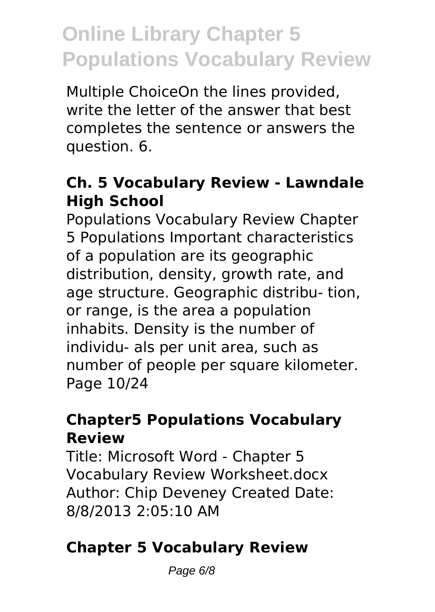Multiple ChoiceOn the lines provided, write the letter of the answer that best completes the sentence or answers the question. 6.

#### **Ch. 5 Vocabulary Review - Lawndale High School**

Populations Vocabulary Review Chapter 5 Populations Important characteristics of a population are its geographic distribution, density, growth rate, and age structure. Geographic distribu- tion, or range, is the area a population inhabits. Density is the number of individu- als per unit area, such as number of people per square kilometer. Page 10/24

#### **Chapter5 Populations Vocabulary Review**

Title: Microsoft Word - Chapter 5 Vocabulary Review Worksheet.docx Author: Chip Deveney Created Date: 8/8/2013 2:05:10 AM

### **Chapter 5 Vocabulary Review**

Page 6/8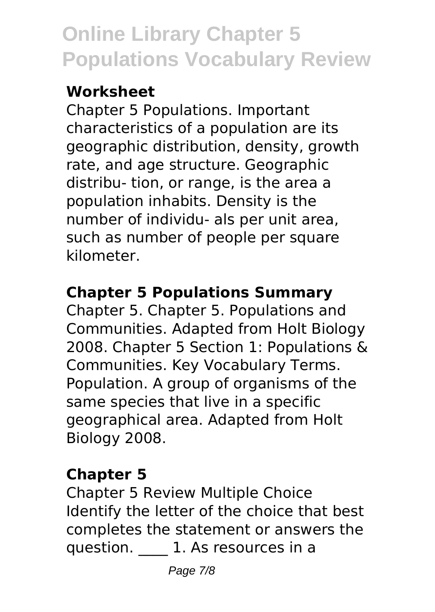### **Worksheet**

Chapter 5 Populations. Important characteristics of a population are its geographic distribution, density, growth rate, and age structure. Geographic distribu- tion, or range, is the area a population inhabits. Density is the number of individu- als per unit area, such as number of people per square kilometer.

### **Chapter 5 Populations Summary**

Chapter 5. Chapter 5. Populations and Communities. Adapted from Holt Biology 2008. Chapter 5 Section 1: Populations & Communities. Key Vocabulary Terms. Population. A group of organisms of the same species that live in a specific geographical area. Adapted from Holt Biology 2008.

### **Chapter 5**

Chapter 5 Review Multiple Choice Identify the letter of the choice that best completes the statement or answers the question. **1.** As resources in a